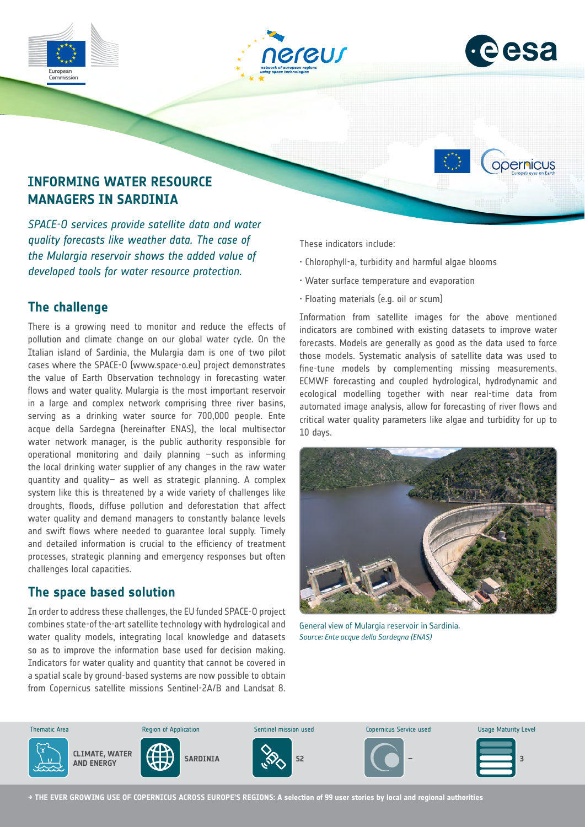



opernicus

## **INFORMING WATER RESOURCE MANAGERS IN SARDINIA**

*SPACE-O services provide satellite data and water quality forecasts like weather data. The case of the Mulargia reservoir shows the added value of developed tools for water resource protection.*

## **The challenge**

There is a growing need to monitor and reduce the effects of pollution and climate change on our global water cycle. On the Italian island of Sardinia, the Mulargia dam is one of two pilot cases where the SPACE-O (www.space-o.eu) project demonstrates the value of Earth Observation technology in forecasting water flows and water quality. Mulargia is the most important reservoir in a large and complex network comprising three river basins, serving as a drinking water source for 700,000 people. Ente acque della Sardegna (hereinafter ENAS), the local multisector water network manager, is the public authority responsible for operational monitoring and daily planning –such as informing the local drinking water supplier of any changes in the raw water quantity and quality– as well as strategic planning. A complex system like this is threatened by a wide variety of challenges like droughts, floods, diffuse pollution and deforestation that affect water quality and demand managers to constantly balance levels and swift flows where needed to guarantee local supply. Timely and detailed information is crucial to the efficiency of treatment processes, strategic planning and emergency responses but often challenges local capacities.

### **The space based solution**

In order to address these challenges, the EU funded SPACE-O project combines state-of the-art satellite technology with hydrological and water quality models, integrating local knowledge and datasets so as to improve the information base used for decision making. Indicators for water quality and quantity that cannot be covered in a spatial scale by ground-based systems are now possible to obtain from Copernicus satellite missions Sentinel-2A/B and Landsat 8.

These indicators include:

- Chlorophyll-a, turbidity and harmful algae blooms
- Water surface temperature and evaporation
- Floating materials (e.g. oil or scum)

Information from satellite images for the above mentioned indicators are combined with existing datasets to improve water forecasts. Models are generally as good as the data used to force those models. Systematic analysis of satellite data was used to fine-tune models by complementing missing measurements. ECMWF forecasting and coupled hydrological, hydrodynamic and ecological modelling together with near real-time data from automated image analysis, allow for forecasting of river flows and critical water quality parameters like algae and turbidity for up to 10 days.



General view of Mulargia reservoir in Sardinia. *Source: Ente acque della Sardegna (ENAS)*



**→ THE EVER GROWING USE OF COPERNICUS ACROSS EUROPE'S REGIONS: A selection of 99 user stories by local and regional authorities**